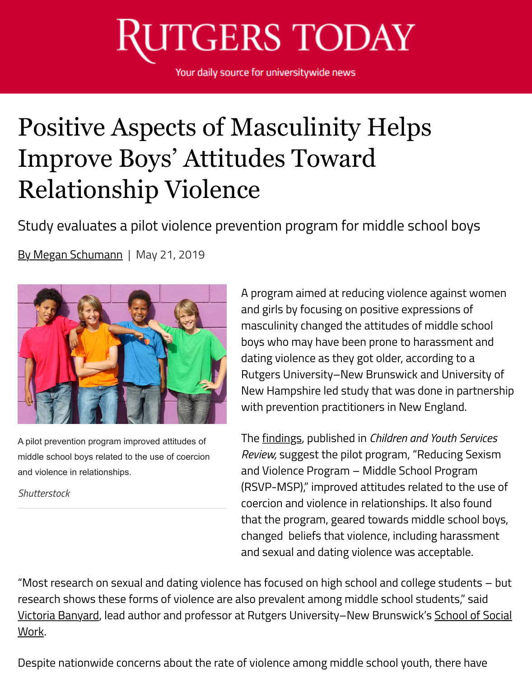## **UTGERS TODAY**

Your daily source for universitywide news

## Positive Aspects of Masculinity Helps Improve Boys' Attitudes Toward Relationship Violence

Study evaluates a pilot violence prevention program for middle school boys

By Megan Schumann | May 21, 2019



A pilot prevention program improved attitudes of middle school boys related to the use of coercion and violence in relationships.

*Shutterstock*

A program aimed at reducing violence against women and girls by focusing on positive expressions of masculinity changed the attitudes of middle school boys who may have been prone to harassment and dating violence as they got older, according to a Rutgers University–New Brunswick and University of New Hampshire led study that was done in partnership with prevention practitioners in New England.

The findings, published in *Children and Youth Services Review,* suggest the pilot program, "Reducing Sexism and Violence Program – Middle School Program (RSVP-MSP)," improved attitudes related to the use of coercion and violence in relationships. It also found that the program, geared towards middle school boys, changed beliefs that violence, including harassment and sexual and dating violence was acceptable.

"Most research on sexual and dating violence has focused on high school and college students – but research shows these forms of violence are also prevalent among middle school students," said Victoria Banyard, lead author and professor at Rutgers University–New Brunswick's School of Social Work.

Despite nationwide concerns about the rate of violence among middle school youth, there have